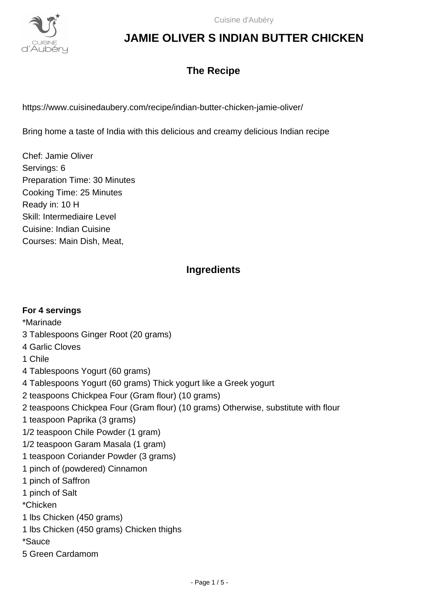

### **The Recipe**

https://www.cuisinedaubery.com/recipe/indian-butter-chicken-jamie-oliver/

Bring home a taste of India with this delicious and creamy delicious Indian recipe

Chef: Jamie Oliver Servings: 6 Preparation Time: 30 Minutes Cooking Time: 25 Minutes Ready in: 10 H Skill: Intermediaire Level Cuisine: Indian Cuisine Courses: Main Dish, Meat,

### **Ingredients**

| For 4 servings                                                                     |
|------------------------------------------------------------------------------------|
| *Marinade                                                                          |
| 3 Tablespoons Ginger Root (20 grams)                                               |
| 4 Garlic Cloves                                                                    |
| 1 Chile                                                                            |
| 4 Tablespoons Yogurt (60 grams)                                                    |
| 4 Tablespoons Yogurt (60 grams) Thick yogurt like a Greek yogurt                   |
| 2 teaspoons Chickpea Four (Gram flour) (10 grams)                                  |
| 2 teaspoons Chickpea Four (Gram flour) (10 grams) Otherwise, substitute with flour |
| 1 teaspoon Paprika (3 grams)                                                       |
| 1/2 teaspoon Chile Powder (1 gram)                                                 |
| 1/2 teaspoon Garam Masala (1 gram)                                                 |
| 1 teaspoon Coriander Powder (3 grams)                                              |
| 1 pinch of (powdered) Cinnamon                                                     |
| 1 pinch of Saffron                                                                 |
| 1 pinch of Salt                                                                    |
| *Chicken                                                                           |
| 1 lbs Chicken (450 grams)                                                          |
| 1 lbs Chicken (450 grams) Chicken thighs                                           |
| *Sauce                                                                             |
| 5 Green Cardamom                                                                   |
|                                                                                    |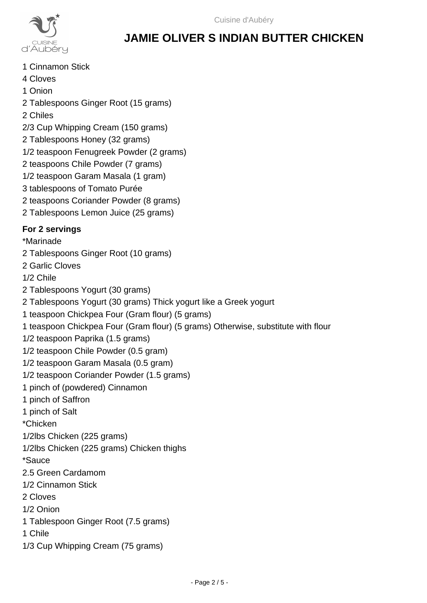

- 1 Cinnamon Stick
- 4 Cloves
- 1 Onion
- 2 Tablespoons Ginger Root (15 grams)
- 2 Chiles
- 2/3 Cup Whipping Cream (150 grams)
- 2 Tablespoons Honey (32 grams)
- 1/2 teaspoon Fenugreek Powder (2 grams)
- 2 teaspoons Chile Powder (7 grams)
- 1/2 teaspoon Garam Masala (1 gram)
- 3 tablespoons of Tomato Purée
- 2 teaspoons Coriander Powder (8 grams)
- 2 Tablespoons Lemon Juice (25 grams)

### **For 2 servings**

- \*Marinade
- 2 Tablespoons Ginger Root (10 grams)
- 2 Garlic Cloves
- 1/2 Chile
- 2 Tablespoons Yogurt (30 grams)
- 2 Tablespoons Yogurt (30 grams) Thick yogurt like a Greek yogurt
- 1 teaspoon Chickpea Four (Gram flour) (5 grams)
- 1 teaspoon Chickpea Four (Gram flour) (5 grams) Otherwise, substitute with flour
- 1/2 teaspoon Paprika (1.5 grams)
- 1/2 teaspoon Chile Powder (0.5 gram)
- 1/2 teaspoon Garam Masala (0.5 gram)
- 1/2 teaspoon Coriander Powder (1.5 grams)
- 1 pinch of (powdered) Cinnamon
- 1 pinch of Saffron
- 1 pinch of Salt
- \*Chicken
- 1/2lbs Chicken (225 grams)
- 1/2lbs Chicken (225 grams) Chicken thighs
- \*Sauce
- 2.5 Green Cardamom
- 1/2 Cinnamon Stick
- 2 Cloves
- 1/2 Onion
- 1 Tablespoon Ginger Root (7.5 grams)
- 1 Chile
- 1/3 Cup Whipping Cream (75 grams)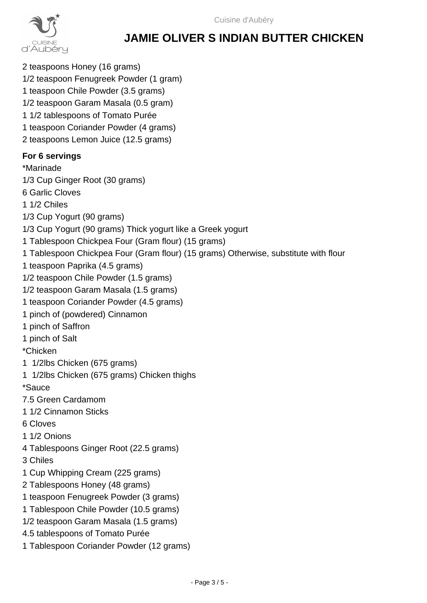

2 teaspoons Honey (16 grams) 1/2 teaspoon Fenugreek Powder (1 gram) 1 teaspoon Chile Powder (3.5 grams) 1/2 teaspoon Garam Masala (0.5 gram) 1 1/2 tablespoons of Tomato Purée 1 teaspoon Coriander Powder (4 grams) 2 teaspoons Lemon Juice (12.5 grams)

#### **For 6 servings**

\*Marinade 1/3 Cup Ginger Root (30 grams)

- 6 Garlic Cloves
- 1 1/2 Chiles
- 1/3 Cup Yogurt (90 grams)
- 1/3 Cup Yogurt (90 grams) Thick yogurt like a Greek yogurt
- 1 Tablespoon Chickpea Four (Gram flour) (15 grams)
- 1 Tablespoon Chickpea Four (Gram flour) (15 grams) Otherwise, substitute with flour
- 1 teaspoon Paprika (4.5 grams)
- 1/2 teaspoon Chile Powder (1.5 grams)
- 1/2 teaspoon Garam Masala (1.5 grams)
- 1 teaspoon Coriander Powder (4.5 grams)
- 1 pinch of (powdered) Cinnamon
- 1 pinch of Saffron
- 1 pinch of Salt

\*Chicken

- 1 1/2lbs Chicken (675 grams)
- 1 1/2lbs Chicken (675 grams) Chicken thighs

\*Sauce

- 7.5 Green Cardamom
- 1 1/2 Cinnamon Sticks
- 6 Cloves
- 1 1/2 Onions
- 4 Tablespoons Ginger Root (22.5 grams)
- 3 Chiles
- 1 Cup Whipping Cream (225 grams)
- 2 Tablespoons Honey (48 grams)
- 1 teaspoon Fenugreek Powder (3 grams)
- 1 Tablespoon Chile Powder (10.5 grams)
- 1/2 teaspoon Garam Masala (1.5 grams)
- 4.5 tablespoons of Tomato Purée
- 1 Tablespoon Coriander Powder (12 grams)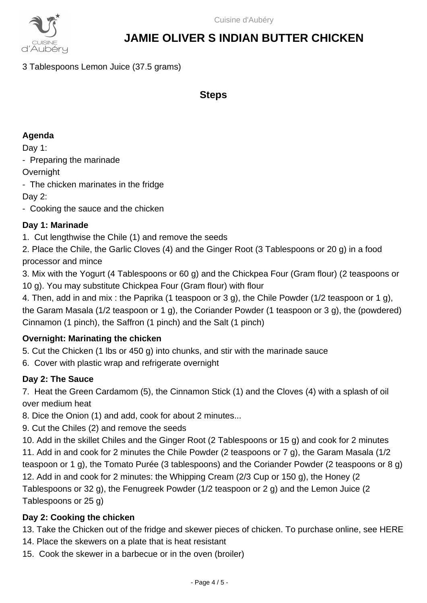

3 Tablespoons Lemon Juice (37.5 grams)

**Steps**

#### **Agenda**

Day 1:

- Preparing the marinade

**Overnight** 

- The chicken marinates in the fridge

Day 2:

- Cooking the sauce and the chicken

### **Day 1: Marinade**

1. Cut lengthwise the Chile (1) and remove the seeds

2. Place the Chile, the Garlic Cloves (4) and the Ginger Root (3 Tablespoons or 20 g) in a food processor and mince

3. Mix with the Yogurt (4 Tablespoons or 60 g) and the Chickpea Four (Gram flour) (2 teaspoons or 10 g). You may substitute Chickpea Four (Gram flour) with flour

4. Then, add in and mix : the Paprika (1 teaspoon or 3 g), the Chile Powder (1/2 teaspoon or 1 g), the Garam Masala (1/2 teaspoon or 1 g), the Coriander Powder (1 teaspoon or 3 g), the (powdered) Cinnamon (1 pinch), the Saffron (1 pinch) and the Salt (1 pinch)

### **Overnight: Marinating the chicken**

5. Cut the Chicken (1 lbs or 450 g) into chunks, and stir with the marinade sauce

6. Cover with plastic wrap and refrigerate overnight

### **Day 2: The Sauce**

7. Heat the Green Cardamom (5), the Cinnamon Stick (1) and the Cloves (4) with a splash of oil over medium heat

8. Dice the Onion (1) and add, cook for about 2 minutes...

9. Cut the Chiles (2) and remove the seeds

10. Add in the skillet Chiles and the Ginger Root (2 Tablespoons or 15 g) and cook for 2 minutes 11. Add in and cook for 2 minutes the Chile Powder (2 teaspoons or 7 g), the Garam Masala (1/2 teaspoon or 1 g), the Tomato Purée (3 tablespoons) and the Coriander Powder (2 teaspoons or 8 g) 12. Add in and cook for 2 minutes: the Whipping Cream (2/3 Cup or 150 g), the Honey (2 Tablespoons or 32 g), the Fenugreek Powder (1/2 teaspoon or 2 g) and the Lemon Juice (2 Tablespoons or 25 g)

### **Day 2: Cooking the chicken**

13. Take the Chicken out of the fridge and skewer pieces of chicken. To purchase online, see HERE

- 14. Place the skewers on a plate that is heat resistant
- 15. Cook the skewer in a barbecue or in the oven (broiler)